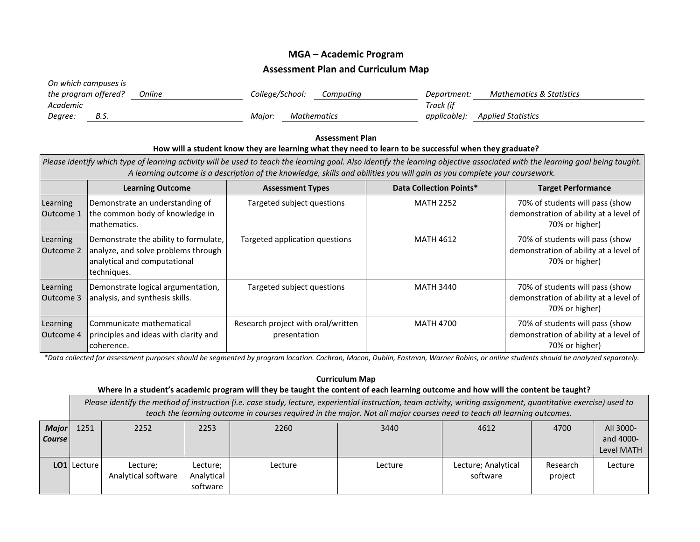## **MGA – Academic Program Assessment Plan and Curriculum Map**

| On which campuses is |  |        |                 |  |              |                    |                          |
|----------------------|--|--------|-----------------|--|--------------|--------------------|--------------------------|
| the program offered? |  | Online | College/School: |  | Computing    | Department:        | Mathematics & Statistics |
| Academic             |  |        |                 |  |              | Track (if          |                          |
| B.S.<br>Degree:      |  | Maior: | Mathematics     |  | applicable): | Applied Statistics |                          |

## **Assessment Plan How will a student know they are learning what they need to learn to be successful when they graduate?** *Please identify which type of learning activity will be used to teach the learning goal. Also identify the learning objective associated with the learning goal being taught. A learning outcome is a description of the knowledge, skills and abilities you will gain as you complete your coursework.* **Learning Outcome Assessment Types Data Collection Points\* Target Performance** Learning Outcome 1 Demonstrate an understanding of the common body of knowledge in mathematics. Targeted subject questions MATH 2252 70% of students will pass (show demonstration of ability at a level of 70% or higher) Learning Outcome 2 Demonstrate the ability to formulate, analyze, and solve problems through analytical and computational techniques. Targeted application questions MATH 4612 70% of students will pass (show demonstration of ability at a level of 70% or higher) Learning Outcome 3 Demonstrate logical argumentation, analysis, and synthesis skills. Targeted subject questions MATH 3440 70% of students will pass (show demonstration of ability at a level of 70% or higher) Learning Outcome 4 Communicate mathematical principles and ideas with clarity and coherence. Research project with oral/written presentation MATH 4700 100 70% of students will pass (show demonstration of ability at a level of 70% or higher)

*\*Data collected for assessment purposes should be segmented by program location. Cochran, Macon, Dublin, Eastman, Warner Robins, or online students should be analyzed separately.*

## **Curriculum Map**

## **Where in a student's academic program will they be taught the content of each learning outcome and how will the content be taught?**

*Please identify the method of instruction (i.e. case study, lecture, experiential instruction, team activity, writing assignment, quantitative exercise) used to teach the learning outcome in courses required in the major. Not all major courses need to teach all learning outcomes.*

| <b>Major</b><br><b>Course</b> | 1251        | 2252                            | 2253                               | 2260    | 3440    | 4612                            | 4700                | All 3000-<br>and 4000-<br>Level MATH |
|-------------------------------|-------------|---------------------------------|------------------------------------|---------|---------|---------------------------------|---------------------|--------------------------------------|
|                               | LO1 Lecture | Lecture;<br>Analytical software | Lecture;<br>Analytical<br>software | Lecture | Lecture | Lecture; Analytical<br>software | Research<br>project | Lecture                              |